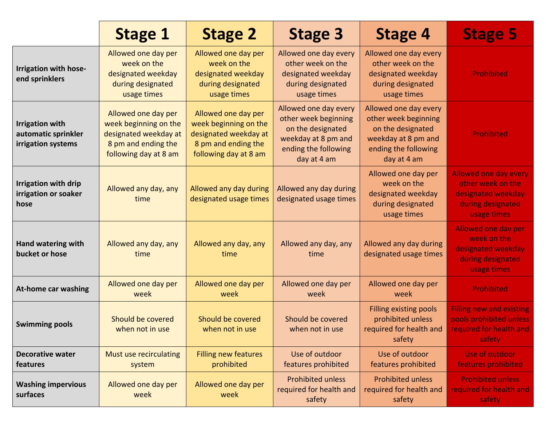|                                                                     | <b>Stage 1</b>                                                                                                        | <b>Stage 2</b>                                                                                                        | <b>Stage 3</b>                                                                                                                   | <b>Stage 4</b>                                                                                                                   | <b>Stage 5</b>                                                                                              |
|---------------------------------------------------------------------|-----------------------------------------------------------------------------------------------------------------------|-----------------------------------------------------------------------------------------------------------------------|----------------------------------------------------------------------------------------------------------------------------------|----------------------------------------------------------------------------------------------------------------------------------|-------------------------------------------------------------------------------------------------------------|
| Irrigation with hose-<br>end sprinklers                             | Allowed one day per<br>week on the<br>designated weekday<br>during designated<br>usage times                          | Allowed one day per<br>week on the<br>designated weekday<br>during designated<br>usage times                          | Allowed one day every<br>other week on the<br>designated weekday<br>during designated<br>usage times                             | Allowed one day every<br>other week on the<br>designated weekday<br>during designated<br>usage times                             | <b>Prohibited</b>                                                                                           |
| <b>Irrigation with</b><br>automatic sprinkler<br>irrigation systems | Allowed one day per<br>week beginning on the<br>designated weekday at<br>8 pm and ending the<br>following day at 8 am | Allowed one day per<br>week beginning on the<br>designated weekday at<br>8 pm and ending the<br>following day at 8 am | Allowed one day every<br>other week beginning<br>on the designated<br>weekday at 8 pm and<br>ending the following<br>day at 4 am | Allowed one day every<br>other week beginning<br>on the designated<br>weekday at 8 pm and<br>ending the following<br>day at 4 am | <b>Prohibited</b>                                                                                           |
| <b>Irrigation with drip</b><br>irrigation or soaker<br>hose         | Allowed any day, any<br>time                                                                                          | Allowed any day during<br>designated usage times                                                                      | Allowed any day during<br>designated usage times                                                                                 | Allowed one day per<br>week on the<br>designated weekday<br>during designated<br>usage times                                     | <b>Allowed one day every</b><br>other week on the<br>designated weekday<br>during designated<br>usage times |
| <b>Hand watering with</b><br>bucket or hose                         | Allowed any day, any<br>time                                                                                          | Allowed any day, any<br>time                                                                                          | Allowed any day, any<br>time                                                                                                     | Allowed any day during<br>designated usage times                                                                                 | <b>Allowed one day per</b><br>week on the<br>designated weekday<br>during designated<br>usage times         |
| <b>At-home car washing</b>                                          | Allowed one day per<br>week                                                                                           | Allowed one day per<br>week                                                                                           | Allowed one day per<br>week                                                                                                      | Allowed one day per<br>week                                                                                                      | <b>Prohibited</b>                                                                                           |
| <b>Swimming pools</b>                                               | Should be covered<br>when not in use                                                                                  | Should be covered<br>when not in use                                                                                  | Should be covered<br>when not in use                                                                                             | Filling existing pools<br>prohibited unless<br>required for health and<br>safety                                                 | <b>Filling new and existing</b><br>pools prohibited unless<br>required for health and<br>safety             |
| <b>Decorative water</b><br>features                                 | Must use recirculating<br>system                                                                                      | <b>Filling new features</b><br>prohibited                                                                             | Use of outdoor<br>features prohibited                                                                                            | Use of outdoor<br>features prohibited                                                                                            | Use of outdoor<br>features prohibited                                                                       |
| <b>Washing impervious</b><br>surfaces                               | Allowed one day per<br>week                                                                                           | Allowed one day per<br>week                                                                                           | <b>Prohibited unless</b><br>required for health and<br>safety                                                                    | <b>Prohibited unless</b><br>required for health and<br>safety                                                                    | <b>Prohibited unless</b><br>required for health and<br>safety                                               |